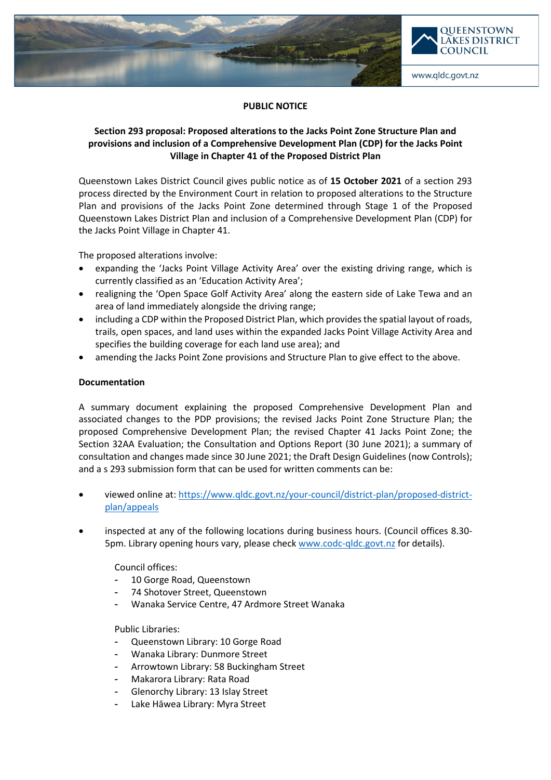

## **PUBLIC NOTICE**

# **Section 293 proposal: Proposed alterations to the Jacks Point Zone Structure Plan and provisions and inclusion of a Comprehensive Development Plan (CDP) for the Jacks Point Village in Chapter 41 of the Proposed District Plan**

Queenstown Lakes District Council gives public notice as of **15 October 2021** of a section 293 process directed by the Environment Court in relation to proposed alterations to the Structure Plan and provisions of the Jacks Point Zone determined through Stage 1 of the Proposed Queenstown Lakes District Plan and inclusion of a Comprehensive Development Plan (CDP) for the Jacks Point Village in Chapter 41.

The proposed alterations involve:

- expanding the 'Jacks Point Village Activity Area' over the existing driving range, which is currently classified as an 'Education Activity Area';
- realigning the 'Open Space Golf Activity Area' along the eastern side of Lake Tewa and an area of land immediately alongside the driving range;
- including a CDP within the Proposed District Plan, which provides the spatial layout of roads, trails, open spaces, and land uses within the expanded Jacks Point Village Activity Area and specifies the building coverage for each land use area); and
- amending the Jacks Point Zone provisions and Structure Plan to give effect to the above.

## **Documentation**

A summary document explaining the proposed Comprehensive Development Plan and associated changes to the PDP provisions; the revised Jacks Point Zone Structure Plan; the proposed Comprehensive Development Plan; the revised Chapter 41 Jacks Point Zone; the Section 32AA Evaluation; the Consultation and Options Report (30 June 2021); a summary of consultation and changes made since 30 June 2021; the Draft Design Guidelines (now Controls); and a s 293 submission form that can be used for written comments can be:

- viewed online at: [https://www.qldc.govt.nz/your-council/district-plan/proposed-district](https://www.qldc.govt.nz/your-council/district-plan/proposed-district-plan/appeals)[plan/appeals](https://www.qldc.govt.nz/your-council/district-plan/proposed-district-plan/appeals)
- inspected at any of the following locations during business hours. (Council offices 8.30- 5pm. Library opening hours vary, please chec[k www.codc-qldc.govt.nz](https://codc-qldc.govt.nz/) for details).

Council offices:

- 10 Gorge Road, Queenstown
- 74 Shotover Street, Queenstown
- Wanaka Service Centre, 47 Ardmore Street Wanaka

## Public Libraries:

- Queenstown Library: 10 Gorge Road
- Wanaka Library: Dunmore Street
- Arrowtown Library: 58 Buckingham Street
- Makarora Library: Rata Road
- Glenorchy Library: 13 Islay Street
- Lake Hāwea Library: Myra Street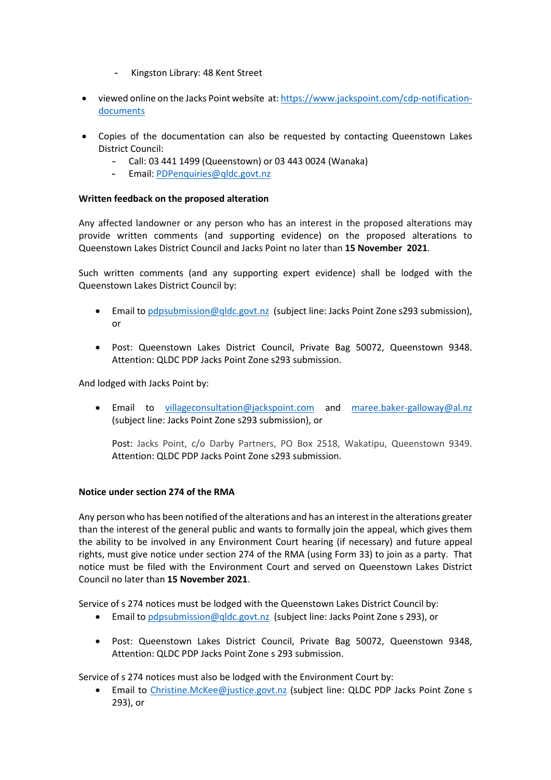- Kingston Library: 48 Kent Street
- viewed online on the Jacks Point website at[: https://www.jackspoint.com/cdp-notification](https://www.jackspoint.com/cdp-notification-documents)[documents](https://www.jackspoint.com/cdp-notification-documents)
- Copies of the documentation can also be requested by contacting Queenstown Lakes District Council:
	- Call: 03 441 1499 (Queenstown) or 03 443 0024 (Wanaka)
	- Email: [PDPenquiries@qldc.govt.nz](mailto:PDPenquiries@qldc.govt.nz)

## **Written feedback on the proposed alteration**

Any affected landowner or any person who has an interest in the proposed alterations may provide written comments (and supporting evidence) on the proposed alterations to Queenstown Lakes District Council and Jacks Point no later than **15 November 2021**.

Such written comments (and any supporting expert evidence) shall be lodged with the Queenstown Lakes District Council by:

- Email to [pdpsubmission@qldc.govt.nz](mailto:pdpsubmission@qldc.govt.nz) (subject line: Jacks Point Zone s293 submission), or
- Post: Queenstown Lakes District Council, Private Bag 50072, Queenstown 9348. Attention: QLDC PDP Jacks Point Zone s293 submission.

And lodged with Jacks Point by:

• Email to [villageconsultation@jackspoint.com](mailto:villageconsultation@jackspoint.com) and [maree.baker-galloway@al.nz](mailto:maree.baker-galloway@al.nz)  (subject line: Jacks Point Zone s293 submission), or

Post: Jacks Point, c/o Darby Partners, PO Box 2518, Wakatipu, Queenstown 9349. Attention: QLDC PDP Jacks Point Zone s293 submission.

#### **Notice under section 274 of the RMA**

Any person who has been notified of the alterations and has an interest in the alterations greater than the interest of the general public and wants to formally join the appeal, which gives them the ability to be involved in any Environment Court hearing (if necessary) and future appeal rights, must give notice under section 274 of the RMA (using Form 33) to join as a party. That notice must be filed with the Environment Court and served on Queenstown Lakes District Council no later than **15 November 2021**.

Service of s 274 notices must be lodged with the Queenstown Lakes District Council by:

- Email to [pdpsubmission@qldc.govt.nz](mailto:pdpsubmission@qldc.govt.nz) (subject line: Jacks Point Zone s 293), or
- Post: Queenstown Lakes District Council, Private Bag 50072, Queenstown 9348, Attention: QLDC PDP Jacks Point Zone s 293 submission.

Service of s 274 notices must also be lodged with the Environment Court by:

• Email to [Christine.McKee@justice.govt.nz](mailto:Christine.McKee@justice.govt.nz) (subject line: QLDC PDP Jacks Point Zone s 293), or